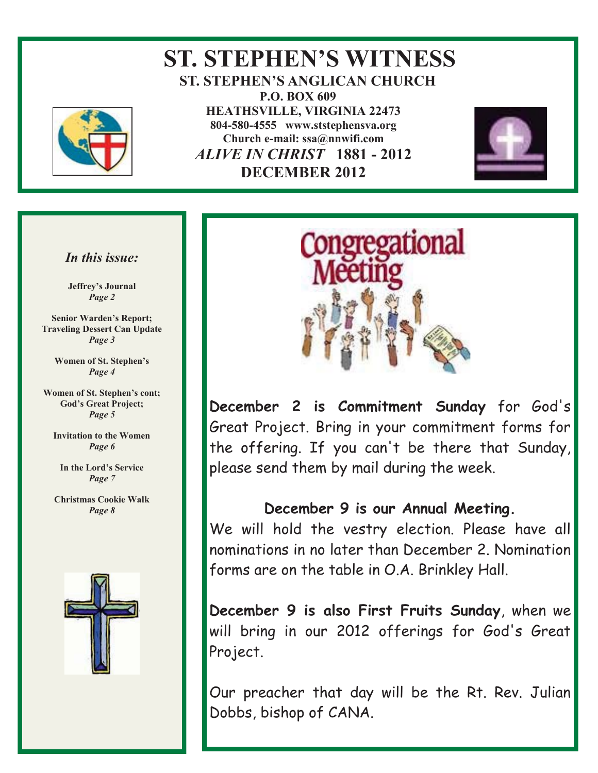

## **ST. STEPHEN'S WITNESS ST. STEPHEN'S ANGLICAN CHURCH P.O. BOX 609 HEATHSVILLE, VIRGINIA 22473 804-580-4555 www.ststephensva.org Church e-mail: ssa@nnwifi.com**   *ALIVE IN CHRIST* **1881 - 2012 DECEMBER 2012**



### *In this issue:*

**Jeffrey's Journal** *Page 2* 

**Senior Warden's Report; Traveling Dessert Can Update**  *Page 3* 

> **Women of St. Stephen's** *Page 4*

**Women of St. Stephen's cont; God's Great Project;** *Page 5* 

**Invitation to the Women**  *Page 6* 

**In the Lord's Service** *Page 7* 

**Christmas Cookie Walk**  *Page 8* 





**December 2 is Commitment Sunday** for God's Great Project. Bring in your commitment forms for the offering. If you can't be there that Sunday, please send them by mail during the week.

### **December 9 is our Annual Meeting.**

We will hold the vestry election. Please have all nominations in no later than December 2. Nomination forms are on the table in O.A. Brinkley Hall.

**December 9 is also First Fruits Sunday**, when we will bring in our 2012 offerings for God's Great Project.

Our preacher that day will be the Rt. Rev. Julian Dobbs, bishop of CANA.

Ĩ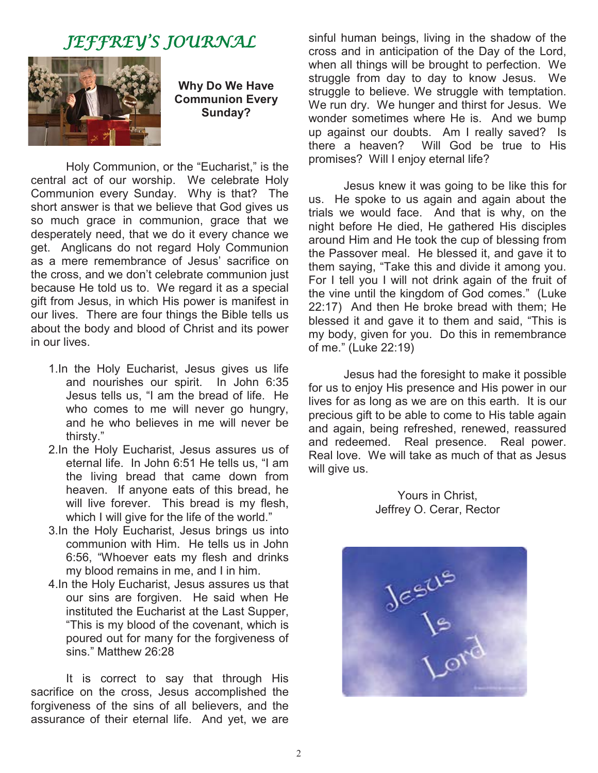# JEFFREY'S JOURNAL



**Why Do We Have Communion Every Sunday?** 

Holy Communion, or the "Eucharist," is the central act of our worship. We celebrate Holy Communion every Sunday. Why is that? The short answer is that we believe that God gives us so much grace in communion, grace that we desperately need, that we do it every chance we get. Anglicans do not regard Holy Communion as a mere remembrance of Jesus' sacrifice on the cross, and we don't celebrate communion just because He told us to. We regard it as a special gift from Jesus, in which His power is manifest in our lives. There are four things the Bible tells us about the body and blood of Christ and its power in our lives.

- 1.In the Holy Eucharist, Jesus gives us life and nourishes our spirit. In John 6:35 Jesus tells us, "I am the bread of life. He who comes to me will never go hungry, and he who believes in me will never be thirsty."
- 2.In the Holy Eucharist, Jesus assures us of eternal life. In John 6:51 He tells us, "I am the living bread that came down from heaven. If anyone eats of this bread, he will live forever. This bread is my flesh, which I will give for the life of the world."
- 3.In the Holy Eucharist, Jesus brings us into communion with Him. He tells us in John 6:56, "Whoever eats my flesh and drinks my blood remains in me, and I in him.
- 4.In the Holy Eucharist, Jesus assures us that our sins are forgiven. He said when He instituted the Eucharist at the Last Supper, "This is my blood of the covenant, which is poured out for many for the forgiveness of sins." Matthew 26:28

 It is correct to say that through His sacrifice on the cross, Jesus accomplished the forgiveness of the sins of all believers, and the assurance of their eternal life. And yet, we are

sinful human beings, living in the shadow of the cross and in anticipation of the Day of the Lord, when all things will be brought to perfection. We struggle from day to day to know Jesus. We struggle to believe. We struggle with temptation. We run dry. We hunger and thirst for Jesus. We wonder sometimes where He is. And we bump up against our doubts. Am I really saved? Is there a heaven? Will God be true to His promises? Will I enjoy eternal life?

 Jesus knew it was going to be like this for us. He spoke to us again and again about the trials we would face. And that is why, on the night before He died, He gathered His disciples around Him and He took the cup of blessing from the Passover meal. He blessed it, and gave it to them saying, "Take this and divide it among you. For I tell you I will not drink again of the fruit of the vine until the kingdom of God comes." (Luke 22:17) And then He broke bread with them; He blessed it and gave it to them and said, "This is my body, given for you. Do this in remembrance of me." (Luke 22:19)

 Jesus had the foresight to make it possible for us to enjoy His presence and His power in our lives for as long as we are on this earth. It is our precious gift to be able to come to His table again and again, being refreshed, renewed, reassured and redeemed. Real presence. Real power. Real love. We will take as much of that as Jesus will give us.

> Yours in Christ, Jeffrey O. Cerar, Rector

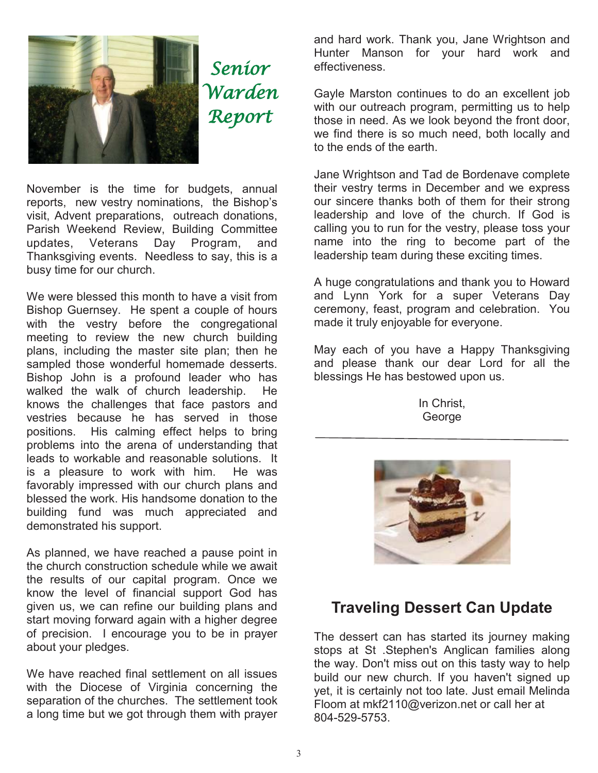

November is the time for budgets, annual reports, new vestry nominations, the Bishop's visit, Advent preparations, outreach donations, Parish Weekend Review, Building Committee updates, Veterans Day Program, and Thanksgiving events. Needless to say, this is a busy time for our church.

We were blessed this month to have a visit from Bishop Guernsey. He spent a couple of hours with the vestry before the congregational meeting to review the new church building plans, including the master site plan; then he sampled those wonderful homemade desserts. Bishop John is a profound leader who has walked the walk of church leadership. He knows the challenges that face pastors and vestries because he has served in those positions. His calming effect helps to bring problems into the arena of understanding that leads to workable and reasonable solutions. It is a pleasure to work with him. He was favorably impressed with our church plans and blessed the work. His handsome donation to the building fund was much appreciated and demonstrated his support.

As planned, we have reached a pause point in the church construction schedule while we await the results of our capital program. Once we know the level of financial support God has given us, we can refine our building plans and start moving forward again with a higher degree of precision. I encourage you to be in prayer about your pledges.

We have reached final settlement on all issues with the Diocese of Virginia concerning the separation of the churches. The settlement took a long time but we got through them with prayer

and hard work. Thank you, Jane Wrightson and Hunter Manson for your hard work and effectiveness.

Gayle Marston continues to do an excellent job with our outreach program, permitting us to help those in need. As we look beyond the front door, we find there is so much need, both locally and to the ends of the earth.

Jane Wrightson and Tad de Bordenave complete their vestry terms in December and we express our sincere thanks both of them for their strong leadership and love of the church. If God is calling you to run for the vestry, please toss your name into the ring to become part of the leadership team during these exciting times.

A huge congratulations and thank you to Howard and Lynn York for a super Veterans Day ceremony, feast, program and celebration. You made it truly enjoyable for everyone.

May each of you have a Happy Thanksgiving and please thank our dear Lord for all the blessings He has bestowed upon us.

> In Christ, George



## **Traveling Dessert Can Update**

The dessert can has started its journey making stops at St .Stephen's Anglican families along the way. Don't miss out on this tasty way to help build our new church. If you haven't signed up yet, it is certainly not too late. Just email Melinda Floom at mkf2110@verizon.net or call her at 804-529-5753.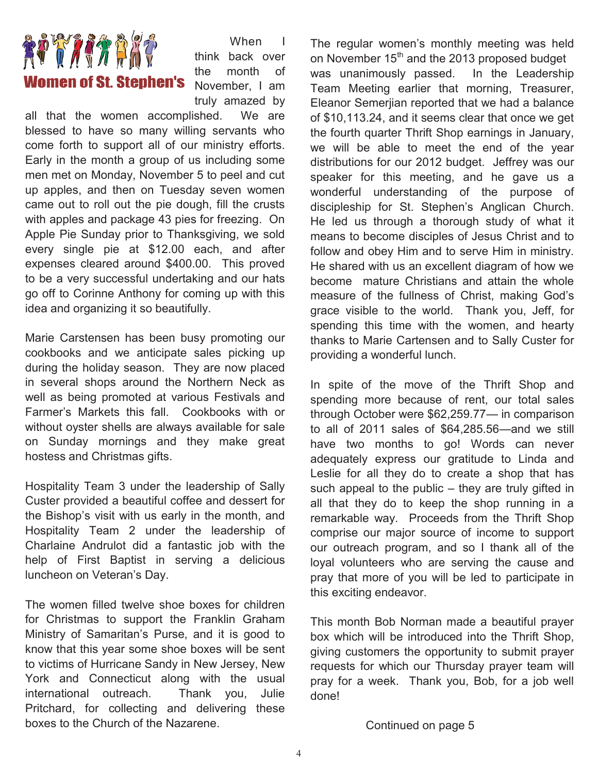

When I think back over the month of November, I am truly amazed by

all that the women accomplished. We are blessed to have so many willing servants who come forth to support all of our ministry efforts. Early in the month a group of us including some men met on Monday, November 5 to peel and cut up apples, and then on Tuesday seven women came out to roll out the pie dough, fill the crusts with apples and package 43 pies for freezing. On Apple Pie Sunday prior to Thanksgiving, we sold every single pie at \$12.00 each, and after expenses cleared around \$400.00. This proved to be a very successful undertaking and our hats go off to Corinne Anthony for coming up with this idea and organizing it so beautifully.

Marie Carstensen has been busy promoting our cookbooks and we anticipate sales picking up during the holiday season. They are now placed in several shops around the Northern Neck as well as being promoted at various Festivals and Farmer's Markets this fall. Cookbooks with or without oyster shells are always available for sale on Sunday mornings and they make great hostess and Christmas gifts.

Hospitality Team 3 under the leadership of Sally Custer provided a beautiful coffee and dessert for the Bishop's visit with us early in the month, and Hospitality Team 2 under the leadership of Charlaine Andrulot did a fantastic job with the help of First Baptist in serving a delicious luncheon on Veteran's Day.

The women filled twelve shoe boxes for children for Christmas to support the Franklin Graham Ministry of Samaritan's Purse, and it is good to know that this year some shoe boxes will be sent to victims of Hurricane Sandy in New Jersey, New York and Connecticut along with the usual international outreach. Thank you, Julie Pritchard, for collecting and delivering these boxes to the Church of the Nazarene.

The regular women's monthly meeting was held on November 15<sup>th</sup> and the 2013 proposed budget was unanimously passed. In the Leadership Team Meeting earlier that morning, Treasurer, Eleanor Semerjian reported that we had a balance of \$10,113.24, and it seems clear that once we get the fourth quarter Thrift Shop earnings in January, we will be able to meet the end of the year distributions for our 2012 budget. Jeffrey was our speaker for this meeting, and he gave us a wonderful understanding of the purpose of discipleship for St. Stephen's Anglican Church. He led us through a thorough study of what it means to become disciples of Jesus Christ and to follow and obey Him and to serve Him in ministry. He shared with us an excellent diagram of how we become mature Christians and attain the whole measure of the fullness of Christ, making God's grace visible to the world. Thank you, Jeff, for spending this time with the women, and hearty thanks to Marie Cartensen and to Sally Custer for providing a wonderful lunch.

In spite of the move of the Thrift Shop and spending more because of rent, our total sales through October were \$62,259.77— in comparison to all of 2011 sales of \$64,285.56—and we still have two months to go! Words can never adequately express our gratitude to Linda and Leslie for all they do to create a shop that has such appeal to the public – they are truly gifted in all that they do to keep the shop running in a remarkable way. Proceeds from the Thrift Shop comprise our major source of income to support our outreach program, and so I thank all of the loyal volunteers who are serving the cause and pray that more of you will be led to participate in this exciting endeavor.

This month Bob Norman made a beautiful prayer box which will be introduced into the Thrift Shop, giving customers the opportunity to submit prayer requests for which our Thursday prayer team will pray for a week. Thank you, Bob, for a job well done!

Continued on page 5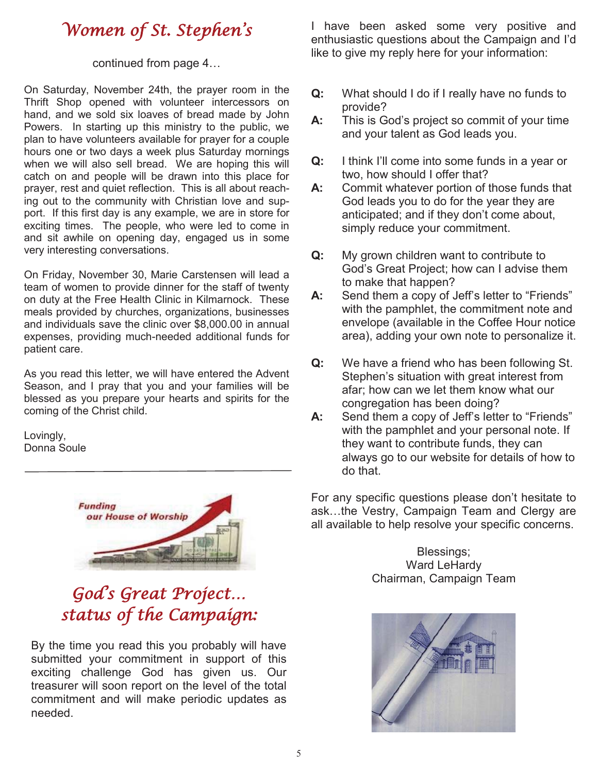# Women of St. Stephen ' s

#### continued from page 4…

On Saturday, November 24th, the prayer room in the Thrift Shop opened with volunteer intercessors on hand, and we sold six loaves of bread made by John Powers. In starting up this ministry to the public, we plan to have volunteers available for prayer for a couple hours one or two days a week plus Saturday mornings when we will also sell bread. We are hoping this will catch on and people will be drawn into this place for prayer, rest and quiet reflection. This is all about reaching out to the community with Christian love and support. If this first day is any example, we are in store for exciting times. The people, who were led to come in and sit awhile on opening day, engaged us in some very interesting conversations.

On Friday, November 30, Marie Carstensen will lead a team of women to provide dinner for the staff of twenty on duty at the Free Health Clinic in Kilmarnock. These meals provided by churches, organizations, businesses and individuals save the clinic over \$8,000.00 in annual expenses, providing much-needed additional funds for patient care.

As you read this letter, we will have entered the Advent Season, and I pray that you and your families will be blessed as you prepare your hearts and spirits for the coming of the Christ child.

Lovingly, Donna Soule



# God' s Great Project… status of the Campaign:

By the time you read this you probably will have submitted your commitment in support of this exciting challenge God has given us. Our treasurer will soon report on the level of the total commitment and will make periodic updates as needed.

I have been asked some very positive and enthusiastic questions about the Campaign and I'd like to give my reply here for your information:

- **Q:** What should I do if I really have no funds to provide?
- **A:** This is God's project so commit of your time and your talent as God leads you.
- **Q:** I think I'll come into some funds in a year or two, how should I offer that?
- **A:** Commit whatever portion of those funds that God leads you to do for the year they are anticipated; and if they don't come about, simply reduce your commitment.
- **Q:** My grown children want to contribute to God's Great Project; how can I advise them to make that happen?
- A: Send them a copy of Jeff's letter to "Friends" with the pamphlet, the commitment note and envelope (available in the Coffee Hour notice area), adding your own note to personalize it.
- **Q:** We have a friend who has been following St. Stephen's situation with great interest from afar; how can we let them know what our congregation has been doing?
- **A:** Send them a copy of Jeff's letter to "Friends" with the pamphlet and your personal note. If they want to contribute funds, they can always go to our website for details of how to do that.

For any specific questions please don't hesitate to ask…the Vestry, Campaign Team and Clergy are all available to help resolve your specific concerns.

> Blessings; Ward LeHardy Chairman, Campaign Team

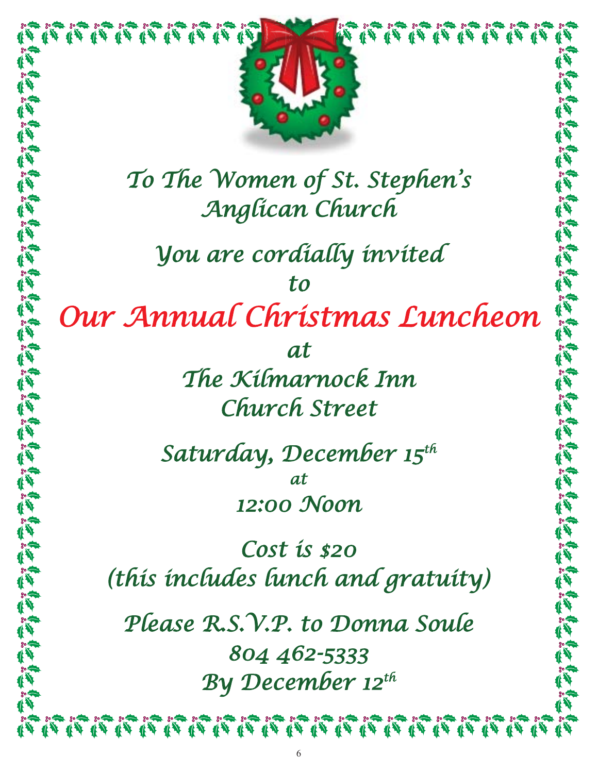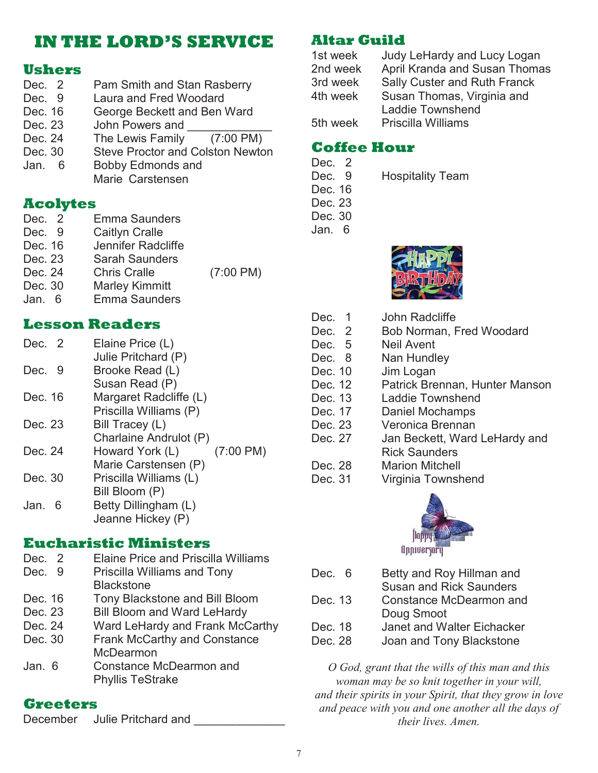# **IN THE LORD'S SERVICE**

### **Ushers**

Dec. 2 Pam Smith and Stan Rasberry Dec. 9 Laura and Fred Woodard Dec. 16 George Beckett and Ben Ward Dec. 23 John Powers and Dec. 24 The Lewis Family (7:00 PM) Dec. 30 Steve Proctor and Colston Newton Jan. 6 Bobby Edmonds and Marie Carstensen

### **Acolytes**

| Dec. 2  | <b>Emma Saunders</b>  |                     |
|---------|-----------------------|---------------------|
| Dec. 9  | <b>Caitlyn Cralle</b> |                     |
| Dec. 16 | Jennifer Radcliffe    |                     |
| Dec. 23 | <b>Sarah Saunders</b> |                     |
| Dec. 24 | <b>Chris Cralle</b>   | $(7:00 \text{ PM})$ |
| Dec. 30 | <b>Marley Kimmitt</b> |                     |
| Jan 6   | <b>Emma Saunders</b>  |                     |
|         |                       |                     |

### **Lesson Readers**

| Dec. 2    | Elaine Price (L)                       |
|-----------|----------------------------------------|
|           | Julie Pritchard (P)                    |
| Dec. 9    | Brooke Read (L)                        |
|           | Susan Read (P)                         |
| Dec. 16   | Margaret Radcliffe (L)                 |
|           | Priscilla Williams (P)                 |
| Dec. 23   | Bill Tracey (L)                        |
|           | Charlaine Andrulot (P)                 |
| Dec. 24   | $(7:00 \text{ PM})$<br>Howard York (L) |
|           | Marie Carstensen (P)                   |
| Dec. 30   | Priscilla Williams (L)                 |
|           | Bill Bloom (P)                         |
| Jan.<br>6 | Betty Dillingham (L)                   |
|           | Jeanne Hickey (P)                      |
|           |                                        |

### **Eucharistic Ministers**

| Dec. 2  | <b>Elaine Price and Priscilla Williams</b> |
|---------|--------------------------------------------|
| Dec. 9  | Priscilla Williams and Tony                |
|         | <b>Blackstone</b>                          |
| Dec. 16 | Tony Blackstone and Bill Bloom             |
| Dec. 23 | <b>Bill Bloom and Ward LeHardy</b>         |
| Dec. 24 | Ward LeHardy and Frank McCarthy            |
| Dec. 30 | <b>Frank McCarthy and Constance</b>        |
|         | <b>McDearmon</b>                           |
| Jan. 6  | Constance McDearmon and                    |
|         | <b>Phyllis TeStrake</b>                    |

### **Greeters**

| <b>December</b> | Julie Pritchard and |  |
|-----------------|---------------------|--|
|                 |                     |  |

### **Altar Guild**

| 1st week | Judy LeHardy and Lucy Logan         |
|----------|-------------------------------------|
| 2nd week | April Kranda and Susan Thomas       |
| 3rd week | <b>Sally Custer and Ruth Franck</b> |
| 4th week | Susan Thomas, Virginia and          |
|          | <b>Laddie Townshend</b>             |
| 5th week | <b>Priscilla Williams</b>           |
|          |                                     |

### **Coffee Hour**

- Dec. 2
- Dec. 9 Hospitality Team
- Dec. 16
- Dec. 23 Dec. 30
- Jan. 6



- Dec. 1 John Radcliffe Dec. 2 Bob Norman, Fred Woodard Dec. 5 Neil Avent Dec. 8 Nan Hundley Dec. 10 Jim Logan Dec. 12 Patrick Brennan, Hunter Manson Dec. 13 Laddie Townshend Dec. 17 Daniel Mochamps Dec. 23 Veronica Brennan Dec. 27 Jan Beckett, Ward LeHardy and Rick Saunders Dec. 28 Marion Mitchell
	- Dec. 31 Virginia Townshend



Dec. 6 Betty and Roy Hillman and Susan and Rick Saunders Dec. 13 Constance McDearmon and Doug Smoot Dec. 18 Janet and Walter Eichacker Dec. 28 Joan and Tony Blackstone

*O God, grant that the wills of this man and this woman may be so knit together in your will, and their spirits in your Spirit, that they grow in love and peace with you and one another all the days of their lives. Amen.*